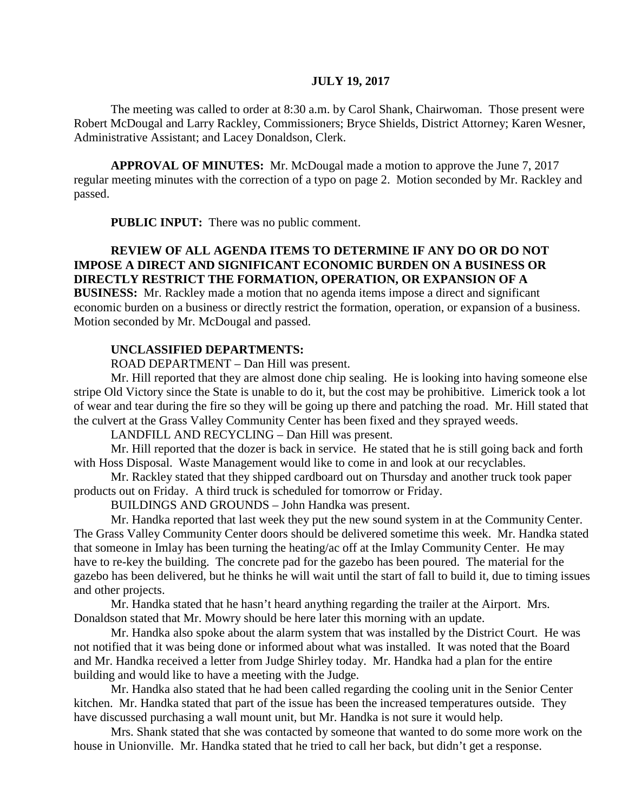#### **JULY 19, 2017**

The meeting was called to order at 8:30 a.m. by Carol Shank, Chairwoman. Those present were Robert McDougal and Larry Rackley, Commissioners; Bryce Shields, District Attorney; Karen Wesner, Administrative Assistant; and Lacey Donaldson, Clerk.

**APPROVAL OF MINUTES:** Mr. McDougal made a motion to approve the June 7, 2017 regular meeting minutes with the correction of a typo on page 2. Motion seconded by Mr. Rackley and passed.

**PUBLIC INPUT:** There was no public comment.

# **REVIEW OF ALL AGENDA ITEMS TO DETERMINE IF ANY DO OR DO NOT IMPOSE A DIRECT AND SIGNIFICANT ECONOMIC BURDEN ON A BUSINESS OR DIRECTLY RESTRICT THE FORMATION, OPERATION, OR EXPANSION OF A**

**BUSINESS:** Mr. Rackley made a motion that no agenda items impose a direct and significant economic burden on a business or directly restrict the formation, operation, or expansion of a business. Motion seconded by Mr. McDougal and passed.

#### **UNCLASSIFIED DEPARTMENTS:**

ROAD DEPARTMENT – Dan Hill was present.

Mr. Hill reported that they are almost done chip sealing. He is looking into having someone else stripe Old Victory since the State is unable to do it, but the cost may be prohibitive. Limerick took a lot of wear and tear during the fire so they will be going up there and patching the road. Mr. Hill stated that the culvert at the Grass Valley Community Center has been fixed and they sprayed weeds.

LANDFILL AND RECYCLING – Dan Hill was present.

Mr. Hill reported that the dozer is back in service. He stated that he is still going back and forth with Hoss Disposal. Waste Management would like to come in and look at our recyclables.

Mr. Rackley stated that they shipped cardboard out on Thursday and another truck took paper products out on Friday. A third truck is scheduled for tomorrow or Friday.

BUILDINGS AND GROUNDS – John Handka was present.

Mr. Handka reported that last week they put the new sound system in at the Community Center. The Grass Valley Community Center doors should be delivered sometime this week. Mr. Handka stated that someone in Imlay has been turning the heating/ac off at the Imlay Community Center. He may have to re-key the building. The concrete pad for the gazebo has been poured. The material for the gazebo has been delivered, but he thinks he will wait until the start of fall to build it, due to timing issues and other projects.

Mr. Handka stated that he hasn't heard anything regarding the trailer at the Airport. Mrs. Donaldson stated that Mr. Mowry should be here later this morning with an update.

Mr. Handka also spoke about the alarm system that was installed by the District Court. He was not notified that it was being done or informed about what was installed. It was noted that the Board and Mr. Handka received a letter from Judge Shirley today. Mr. Handka had a plan for the entire building and would like to have a meeting with the Judge.

Mr. Handka also stated that he had been called regarding the cooling unit in the Senior Center kitchen. Mr. Handka stated that part of the issue has been the increased temperatures outside. They have discussed purchasing a wall mount unit, but Mr. Handka is not sure it would help.

Mrs. Shank stated that she was contacted by someone that wanted to do some more work on the house in Unionville. Mr. Handka stated that he tried to call her back, but didn't get a response.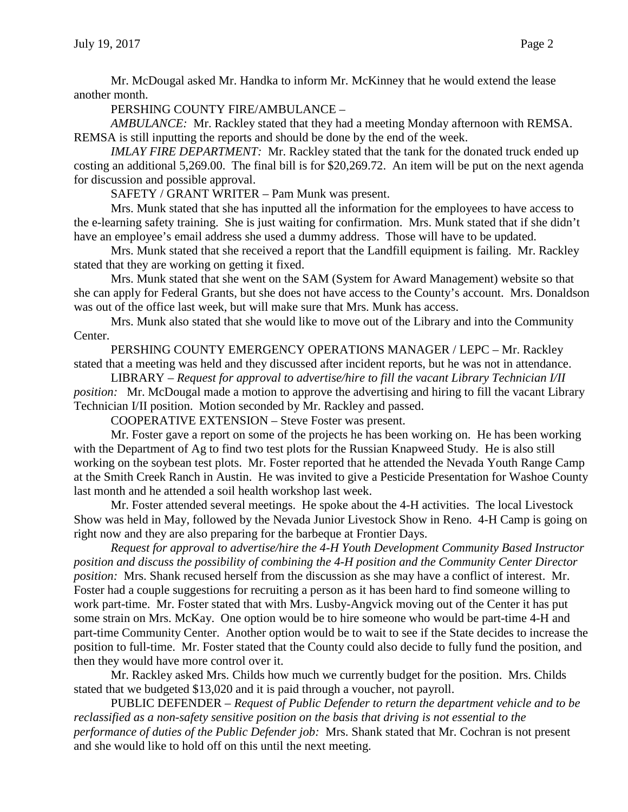Mr. McDougal asked Mr. Handka to inform Mr. McKinney that he would extend the lease another month.

PERSHING COUNTY FIRE/AMBULANCE –

*AMBULANCE:* Mr. Rackley stated that they had a meeting Monday afternoon with REMSA. REMSA is still inputting the reports and should be done by the end of the week.

*IMLAY FIRE DEPARTMENT:* Mr. Rackley stated that the tank for the donated truck ended up costing an additional 5,269.00. The final bill is for \$20,269.72. An item will be put on the next agenda for discussion and possible approval.

SAFETY / GRANT WRITER – Pam Munk was present.

Mrs. Munk stated that she has inputted all the information for the employees to have access to the e-learning safety training. She is just waiting for confirmation. Mrs. Munk stated that if she didn't have an employee's email address she used a dummy address. Those will have to be updated.

Mrs. Munk stated that she received a report that the Landfill equipment is failing. Mr. Rackley stated that they are working on getting it fixed.

Mrs. Munk stated that she went on the SAM (System for Award Management) website so that she can apply for Federal Grants, but she does not have access to the County's account. Mrs. Donaldson was out of the office last week, but will make sure that Mrs. Munk has access.

Mrs. Munk also stated that she would like to move out of the Library and into the Community Center.

PERSHING COUNTY EMERGENCY OPERATIONS MANAGER / LEPC – Mr. Rackley stated that a meeting was held and they discussed after incident reports, but he was not in attendance.

LIBRARY – *Request for approval to advertise/hire to fill the vacant Library Technician I/II position:* Mr. McDougal made a motion to approve the advertising and hiring to fill the vacant Library Technician I/II position. Motion seconded by Mr. Rackley and passed.

COOPERATIVE EXTENSION – Steve Foster was present.

Mr. Foster gave a report on some of the projects he has been working on. He has been working with the Department of Ag to find two test plots for the Russian Knapweed Study. He is also still working on the soybean test plots. Mr. Foster reported that he attended the Nevada Youth Range Camp at the Smith Creek Ranch in Austin. He was invited to give a Pesticide Presentation for Washoe County last month and he attended a soil health workshop last week.

Mr. Foster attended several meetings. He spoke about the 4-H activities. The local Livestock Show was held in May, followed by the Nevada Junior Livestock Show in Reno. 4-H Camp is going on right now and they are also preparing for the barbeque at Frontier Days.

*Request for approval to advertise/hire the 4-H Youth Development Community Based Instructor position and discuss the possibility of combining the 4-H position and the Community Center Director position:* Mrs. Shank recused herself from the discussion as she may have a conflict of interest. Mr. Foster had a couple suggestions for recruiting a person as it has been hard to find someone willing to work part-time. Mr. Foster stated that with Mrs. Lusby-Angvick moving out of the Center it has put some strain on Mrs. McKay. One option would be to hire someone who would be part-time 4-H and part-time Community Center. Another option would be to wait to see if the State decides to increase the position to full-time. Mr. Foster stated that the County could also decide to fully fund the position, and then they would have more control over it.

Mr. Rackley asked Mrs. Childs how much we currently budget for the position. Mrs. Childs stated that we budgeted \$13,020 and it is paid through a voucher, not payroll.

PUBLIC DEFENDER – *Request of Public Defender to return the department vehicle and to be reclassified as a non-safety sensitive position on the basis that driving is not essential to the performance of duties of the Public Defender job:* Mrs. Shank stated that Mr. Cochran is not present and she would like to hold off on this until the next meeting.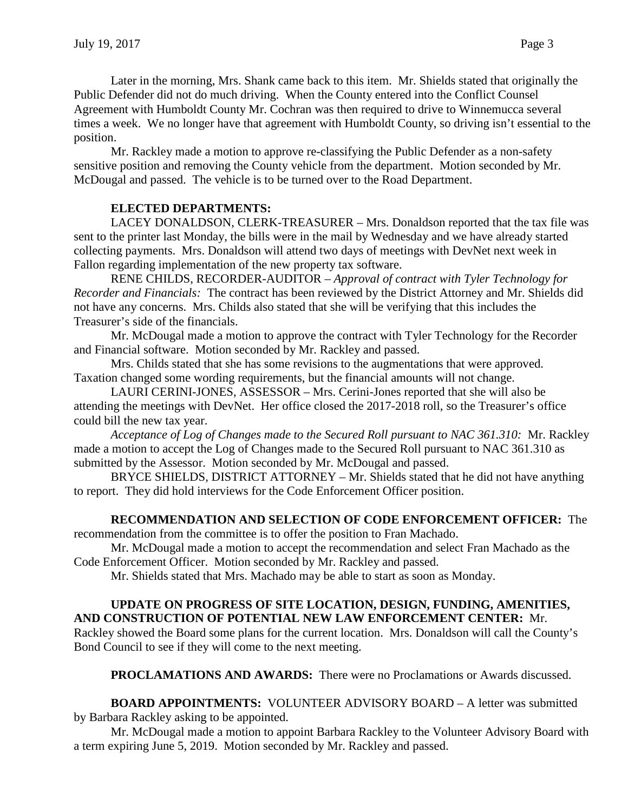Later in the morning, Mrs. Shank came back to this item. Mr. Shields stated that originally the Public Defender did not do much driving. When the County entered into the Conflict Counsel Agreement with Humboldt County Mr. Cochran was then required to drive to Winnemucca several times a week. We no longer have that agreement with Humboldt County, so driving isn't essential to the position.

Mr. Rackley made a motion to approve re-classifying the Public Defender as a non-safety sensitive position and removing the County vehicle from the department. Motion seconded by Mr. McDougal and passed. The vehicle is to be turned over to the Road Department.

# **ELECTED DEPARTMENTS:**

LACEY DONALDSON, CLERK-TREASURER – Mrs. Donaldson reported that the tax file was sent to the printer last Monday, the bills were in the mail by Wednesday and we have already started collecting payments. Mrs. Donaldson will attend two days of meetings with DevNet next week in Fallon regarding implementation of the new property tax software.

RENE CHILDS, RECORDER-AUDITOR – *Approval of contract with Tyler Technology for Recorder and Financials:* The contract has been reviewed by the District Attorney and Mr. Shields did not have any concerns. Mrs. Childs also stated that she will be verifying that this includes the Treasurer's side of the financials.

Mr. McDougal made a motion to approve the contract with Tyler Technology for the Recorder and Financial software. Motion seconded by Mr. Rackley and passed.

Mrs. Childs stated that she has some revisions to the augmentations that were approved. Taxation changed some wording requirements, but the financial amounts will not change.

LAURI CERINI-JONES, ASSESSOR – Mrs. Cerini-Jones reported that she will also be attending the meetings with DevNet. Her office closed the 2017-2018 roll, so the Treasurer's office could bill the new tax year.

*Acceptance of Log of Changes made to the Secured Roll pursuant to NAC 361.310:* Mr. Rackley made a motion to accept the Log of Changes made to the Secured Roll pursuant to NAC 361.310 as submitted by the Assessor. Motion seconded by Mr. McDougal and passed.

BRYCE SHIELDS, DISTRICT ATTORNEY – Mr. Shields stated that he did not have anything to report. They did hold interviews for the Code Enforcement Officer position.

## **RECOMMENDATION AND SELECTION OF CODE ENFORCEMENT OFFICER:** The

recommendation from the committee is to offer the position to Fran Machado.

Mr. McDougal made a motion to accept the recommendation and select Fran Machado as the Code Enforcement Officer. Motion seconded by Mr. Rackley and passed.

Mr. Shields stated that Mrs. Machado may be able to start as soon as Monday.

## **UPDATE ON PROGRESS OF SITE LOCATION, DESIGN, FUNDING, AMENITIES, AND CONSTRUCTION OF POTENTIAL NEW LAW ENFORCEMENT CENTER:** Mr.

Rackley showed the Board some plans for the current location. Mrs. Donaldson will call the County's Bond Council to see if they will come to the next meeting.

**PROCLAMATIONS AND AWARDS:** There were no Proclamations or Awards discussed.

**BOARD APPOINTMENTS:** VOLUNTEER ADVISORY BOARD – A letter was submitted by Barbara Rackley asking to be appointed.

Mr. McDougal made a motion to appoint Barbara Rackley to the Volunteer Advisory Board with a term expiring June 5, 2019. Motion seconded by Mr. Rackley and passed.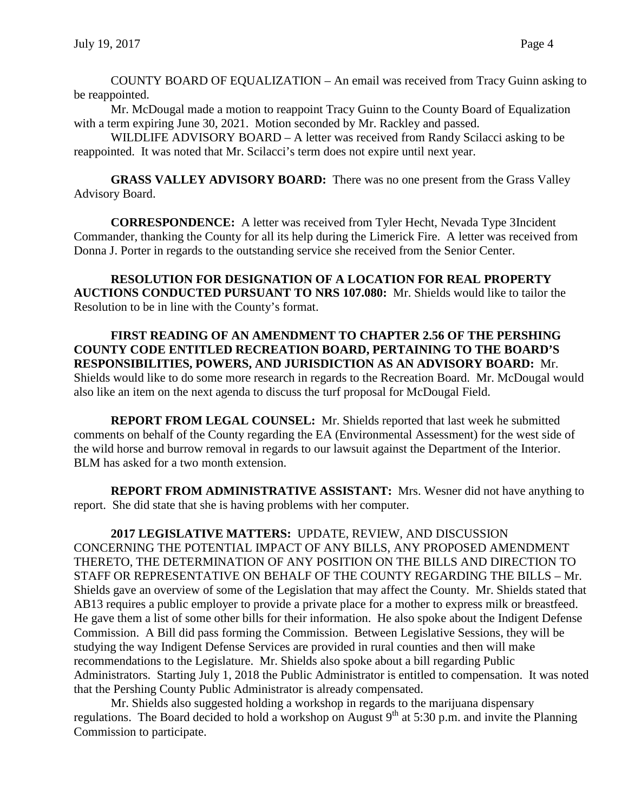COUNTY BOARD OF EQUALIZATION – An email was received from Tracy Guinn asking to be reappointed.

Mr. McDougal made a motion to reappoint Tracy Guinn to the County Board of Equalization with a term expiring June 30, 2021. Motion seconded by Mr. Rackley and passed.

WILDLIFE ADVISORY BOARD – A letter was received from Randy Scilacci asking to be reappointed. It was noted that Mr. Scilacci's term does not expire until next year.

**GRASS VALLEY ADVISORY BOARD:** There was no one present from the Grass Valley Advisory Board.

**CORRESPONDENCE:** A letter was received from Tyler Hecht, Nevada Type 3Incident Commander, thanking the County for all its help during the Limerick Fire. A letter was received from Donna J. Porter in regards to the outstanding service she received from the Senior Center.

**RESOLUTION FOR DESIGNATION OF A LOCATION FOR REAL PROPERTY AUCTIONS CONDUCTED PURSUANT TO NRS 107.080:** Mr. Shields would like to tailor the Resolution to be in line with the County's format.

**FIRST READING OF AN AMENDMENT TO CHAPTER 2.56 OF THE PERSHING COUNTY CODE ENTITLED RECREATION BOARD, PERTAINING TO THE BOARD'S RESPONSIBILITIES, POWERS, AND JURISDICTION AS AN ADVISORY BOARD:** Mr. Shields would like to do some more research in regards to the Recreation Board. Mr. McDougal would also like an item on the next agenda to discuss the turf proposal for McDougal Field.

**REPORT FROM LEGAL COUNSEL:** Mr. Shields reported that last week he submitted comments on behalf of the County regarding the EA (Environmental Assessment) for the west side of the wild horse and burrow removal in regards to our lawsuit against the Department of the Interior. BLM has asked for a two month extension.

**REPORT FROM ADMINISTRATIVE ASSISTANT:** Mrs. Wesner did not have anything to report. She did state that she is having problems with her computer.

**2017 LEGISLATIVE MATTERS:** UPDATE, REVIEW, AND DISCUSSION CONCERNING THE POTENTIAL IMPACT OF ANY BILLS, ANY PROPOSED AMENDMENT THERETO, THE DETERMINATION OF ANY POSITION ON THE BILLS AND DIRECTION TO STAFF OR REPRESENTATIVE ON BEHALF OF THE COUNTY REGARDING THE BILLS – Mr. Shields gave an overview of some of the Legislation that may affect the County. Mr. Shields stated that AB13 requires a public employer to provide a private place for a mother to express milk or breastfeed. He gave them a list of some other bills for their information. He also spoke about the Indigent Defense Commission. A Bill did pass forming the Commission. Between Legislative Sessions, they will be studying the way Indigent Defense Services are provided in rural counties and then will make recommendations to the Legislature. Mr. Shields also spoke about a bill regarding Public Administrators. Starting July 1, 2018 the Public Administrator is entitled to compensation. It was noted that the Pershing County Public Administrator is already compensated.

Mr. Shields also suggested holding a workshop in regards to the marijuana dispensary regulations. The Board decided to hold a workshop on August  $9<sup>th</sup>$  at 5:30 p.m. and invite the Planning Commission to participate.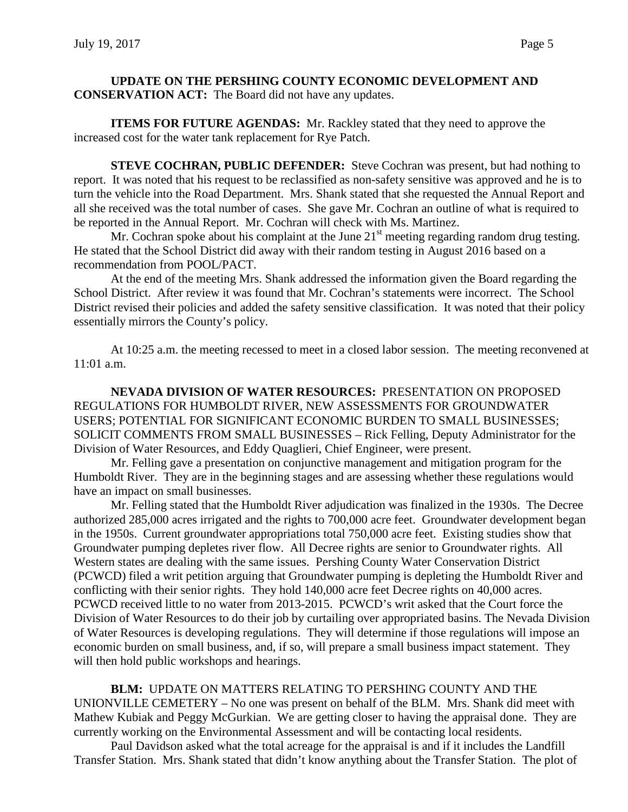### **UPDATE ON THE PERSHING COUNTY ECONOMIC DEVELOPMENT AND CONSERVATION ACT:** The Board did not have any updates.

**ITEMS FOR FUTURE AGENDAS:** Mr. Rackley stated that they need to approve the increased cost for the water tank replacement for Rye Patch.

**STEVE COCHRAN, PUBLIC DEFENDER:** Steve Cochran was present, but had nothing to report. It was noted that his request to be reclassified as non-safety sensitive was approved and he is to turn the vehicle into the Road Department. Mrs. Shank stated that she requested the Annual Report and all she received was the total number of cases. She gave Mr. Cochran an outline of what is required to be reported in the Annual Report. Mr. Cochran will check with Ms. Martinez.

Mr. Cochran spoke about his complaint at the June  $21<sup>st</sup>$  meeting regarding random drug testing. He stated that the School District did away with their random testing in August 2016 based on a recommendation from POOL/PACT.

At the end of the meeting Mrs. Shank addressed the information given the Board regarding the School District. After review it was found that Mr. Cochran's statements were incorrect. The School District revised their policies and added the safety sensitive classification. It was noted that their policy essentially mirrors the County's policy.

At 10:25 a.m. the meeting recessed to meet in a closed labor session. The meeting reconvened at  $11:01$  a.m.

**NEVADA DIVISION OF WATER RESOURCES:** PRESENTATION ON PROPOSED REGULATIONS FOR HUMBOLDT RIVER, NEW ASSESSMENTS FOR GROUNDWATER USERS; POTENTIAL FOR SIGNIFICANT ECONOMIC BURDEN TO SMALL BUSINESSES; SOLICIT COMMENTS FROM SMALL BUSINESSES – Rick Felling, Deputy Administrator for the Division of Water Resources, and Eddy Quaglieri, Chief Engineer, were present.

Mr. Felling gave a presentation on conjunctive management and mitigation program for the Humboldt River. They are in the beginning stages and are assessing whether these regulations would have an impact on small businesses.

Mr. Felling stated that the Humboldt River adjudication was finalized in the 1930s. The Decree authorized 285,000 acres irrigated and the rights to 700,000 acre feet. Groundwater development began in the 1950s. Current groundwater appropriations total 750,000 acre feet. Existing studies show that Groundwater pumping depletes river flow. All Decree rights are senior to Groundwater rights. All Western states are dealing with the same issues. Pershing County Water Conservation District (PCWCD) filed a writ petition arguing that Groundwater pumping is depleting the Humboldt River and conflicting with their senior rights. They hold 140,000 acre feet Decree rights on 40,000 acres. PCWCD received little to no water from 2013-2015. PCWCD's writ asked that the Court force the Division of Water Resources to do their job by curtailing over appropriated basins. The Nevada Division of Water Resources is developing regulations. They will determine if those regulations will impose an economic burden on small business, and, if so, will prepare a small business impact statement. They will then hold public workshops and hearings.

**BLM:** UPDATE ON MATTERS RELATING TO PERSHING COUNTY AND THE UNIONVILLE CEMETERY – No one was present on behalf of the BLM. Mrs. Shank did meet with Mathew Kubiak and Peggy McGurkian. We are getting closer to having the appraisal done. They are currently working on the Environmental Assessment and will be contacting local residents.

Paul Davidson asked what the total acreage for the appraisal is and if it includes the Landfill Transfer Station. Mrs. Shank stated that didn't know anything about the Transfer Station. The plot of